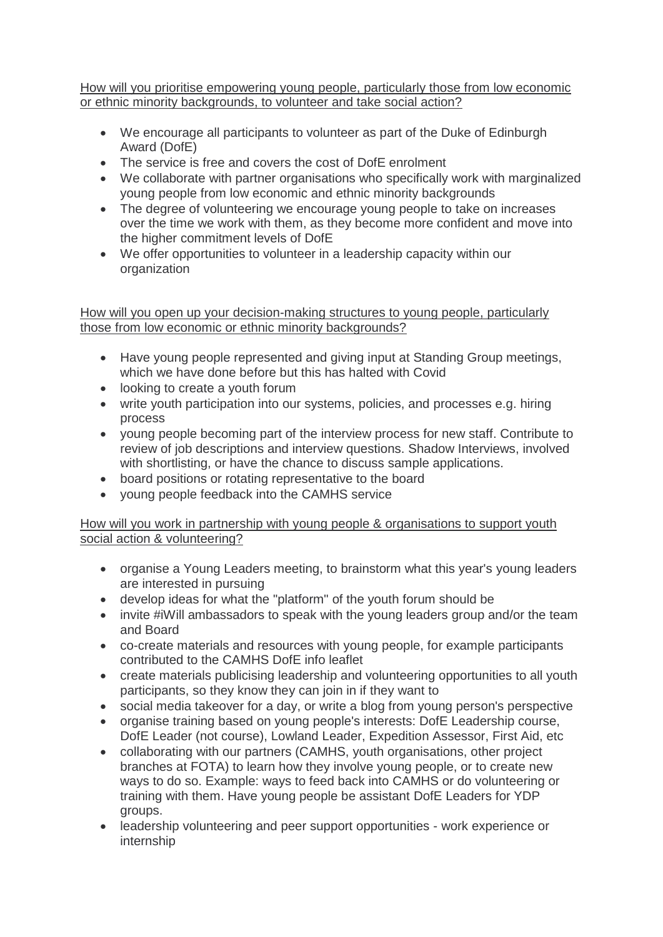How will you prioritise empowering young people, particularly those from low economic or ethnic minority backgrounds, to volunteer and take social action?

- We encourage all participants to volunteer as part of the Duke of Edinburgh Award (DofE)
- The service is free and covers the cost of DofE enrolment
- We collaborate with partner organisations who specifically work with marginalized young people from low economic and ethnic minority backgrounds
- The degree of volunteering we encourage young people to take on increases over the time we work with them, as they become more confident and move into the higher commitment levels of DofE
- We offer opportunities to volunteer in a leadership capacity within our organization

How will you open up your decision-making structures to young people, particularly those from low economic or ethnic minority backgrounds?

- Have young people represented and giving input at Standing Group meetings, which we have done before but this has halted with Covid
- looking to create a youth forum
- write youth participation into our systems, policies, and processes e.g. hiring process
- young people becoming part of the interview process for new staff. Contribute to review of job descriptions and interview questions. Shadow Interviews, involved with shortlisting, or have the chance to discuss sample applications.
- board positions or rotating representative to the board
- young people feedback into the CAMHS service

## How will you work in partnership with young people & organisations to support youth social action & volunteering?

- organise a Young Leaders meeting, to brainstorm what this year's young leaders are interested in pursuing
- develop ideas for what the "platform" of the youth forum should be
- invite #iWill ambassadors to speak with the young leaders group and/or the team and Board
- co-create materials and resources with young people, for example participants contributed to the CAMHS DofE info leaflet
- create materials publicising leadership and volunteering opportunities to all youth participants, so they know they can join in if they want to
- social media takeover for a day, or write a blog from young person's perspective
- organise training based on young people's interests: DofE Leadership course, DofE Leader (not course), Lowland Leader, Expedition Assessor, First Aid, etc
- collaborating with our partners (CAMHS, youth organisations, other project branches at FOTA) to learn how they involve young people, or to create new ways to do so. Example: ways to feed back into CAMHS or do volunteering or training with them. Have young people be assistant DofE Leaders for YDP groups.
- leadership volunteering and peer support opportunities work experience or internship